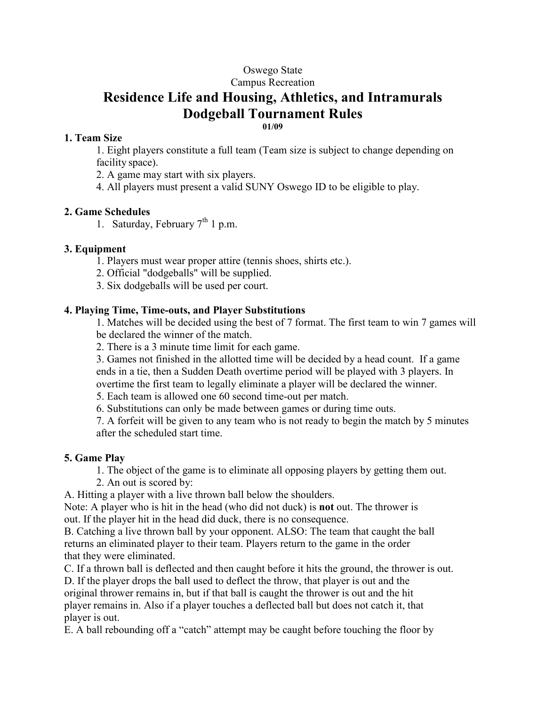# Oswego State

Campus Recreation

# Residence Life and Housing, Athletics, and Intramurals Dodgeball Tournament Rules 01/09

#### 1. Team Size

1. Eight players constitute a full team (Team size is subject to change depending on facility space).

2. A game may start with six players.

4. All players must present a valid SUNY Oswego ID to be eligible to play.

### 2. Game Schedules

1. Saturday, February  $7<sup>th</sup>$  1 p.m.

### 3. Equipment

- 1. Players must wear proper attire (tennis shoes, shirts etc.).
- 2. Official "dodgeballs" will be supplied.
- 3. Six dodgeballs will be used per court.

### 4. Playing Time, Time-outs, and Player Substitutions

1. Matches will be decided using the best of 7 format. The first team to win 7 games will be declared the winner of the match.

2. There is a 3 minute time limit for each game.

3. Games not finished in the allotted time will be decided by a head count. If a game ends in a tie, then a Sudden Death overtime period will be played with 3 players. In overtime the first team to legally eliminate a player will be declared the winner.

5. Each team is allowed one 60 second time-out per match.

6. Substitutions can only be made between games or during time outs.

7. A forfeit will be given to any team who is not ready to begin the match by 5 minutes after the scheduled start time.

#### 5. Game Play

- 1. The object of the game is to eliminate all opposing players by getting them out.
- 2. An out is scored by:

A. Hitting a player with a live thrown ball below the shoulders.

Note: A player who is hit in the head (who did not duck) is not out. The thrower is out. If the player hit in the head did duck, there is no consequence.

B. Catching a live thrown ball by your opponent. ALSO: The team that caught the ball returns an eliminated player to their team. Players return to the game in the order that they were eliminated.

C. If a thrown ball is deflected and then caught before it hits the ground, the thrower is out.

D. If the player drops the ball used to deflect the throw, that player is out and the original thrower remains in, but if that ball is caught the thrower is out and the hit player remains in. Also if a player touches a deflected ball but does not catch it, that player is out.

E. A ball rebounding off a "catch" attempt may be caught before touching the floor by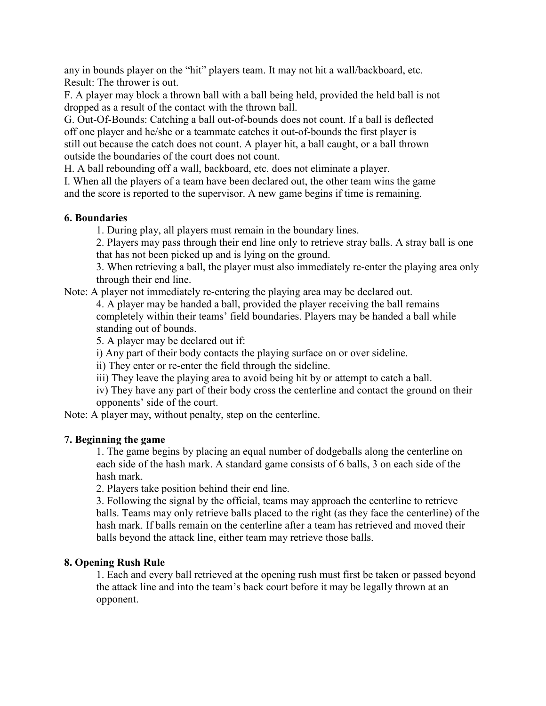any in bounds player on the "hit" players team. It may not hit a wall/backboard, etc. Result: The thrower is out.

F. A player may block a thrown ball with a ball being held, provided the held ball is not dropped as a result of the contact with the thrown ball.

G. Out-Of-Bounds: Catching a ball out-of-bounds does not count. If a ball is deflected off one player and he/she or a teammate catches it out-of-bounds the first player is still out because the catch does not count. A player hit, a ball caught, or a ball thrown outside the boundaries of the court does not count.

H. A ball rebounding off a wall, backboard, etc. does not eliminate a player.

I. When all the players of a team have been declared out, the other team wins the game and the score is reported to the supervisor. A new game begins if time is remaining.

### 6. Boundaries

1. During play, all players must remain in the boundary lines.

2. Players may pass through their end line only to retrieve stray balls. A stray ball is one that has not been picked up and is lying on the ground.

3. When retrieving a ball, the player must also immediately re-enter the playing area only through their end line.

Note: A player not immediately re-entering the playing area may be declared out.

4. A player may be handed a ball, provided the player receiving the ball remains completely within their teams' field boundaries. Players may be handed a ball while standing out of bounds.

5. A player may be declared out if:

i) Any part of their body contacts the playing surface on or over sideline.

ii) They enter or re-enter the field through the sideline.

iii) They leave the playing area to avoid being hit by or attempt to catch a ball.

iv) They have any part of their body cross the centerline and contact the ground on their opponents' side of the court.

Note: A player may, without penalty, step on the centerline.

# 7. Beginning the game

1. The game begins by placing an equal number of dodgeballs along the centerline on each side of the hash mark. A standard game consists of 6 balls, 3 on each side of the hash mark.

2. Players take position behind their end line.

3. Following the signal by the official, teams may approach the centerline to retrieve balls. Teams may only retrieve balls placed to the right (as they face the centerline) of the hash mark. If balls remain on the centerline after a team has retrieved and moved their balls beyond the attack line, either team may retrieve those balls.

# 8. Opening Rush Rule

1. Each and every ball retrieved at the opening rush must first be taken or passed beyond the attack line and into the team's back court before it may be legally thrown at an opponent.